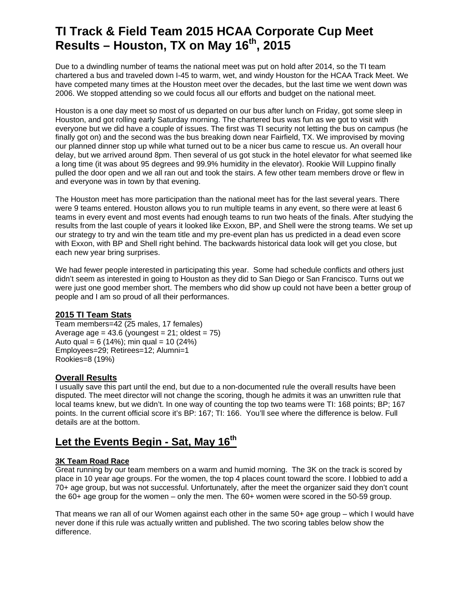# **TI Track & Field Team 2015 HCAA Corporate Cup Meet Results – Houston, TX on May 16th, 2015**

Due to a dwindling number of teams the national meet was put on hold after 2014, so the TI team chartered a bus and traveled down I-45 to warm, wet, and windy Houston for the HCAA Track Meet. We have competed many times at the Houston meet over the decades, but the last time we went down was 2006. We stopped attending so we could focus all our efforts and budget on the national meet.

Houston is a one day meet so most of us departed on our bus after lunch on Friday, got some sleep in Houston, and got rolling early Saturday morning. The chartered bus was fun as we got to visit with everyone but we did have a couple of issues. The first was TI security not letting the bus on campus (he finally got on) and the second was the bus breaking down near Fairfield, TX. We improvised by moving our planned dinner stop up while what turned out to be a nicer bus came to rescue us. An overall hour delay, but we arrived around 8pm. Then several of us got stuck in the hotel elevator for what seemed like a long time (it was about 95 degrees and 99.9% humidity in the elevator). Rookie Will Luppino finally pulled the door open and we all ran out and took the stairs. A few other team members drove or flew in and everyone was in town by that evening.

The Houston meet has more participation than the national meet has for the last several years. There were 9 teams entered. Houston allows you to run multiple teams in any event, so there were at least 6 teams in every event and most events had enough teams to run two heats of the finals. After studying the results from the last couple of years it looked like Exxon, BP, and Shell were the strong teams. We set up our strategy to try and win the team title and my pre-event plan has us predicted in a dead even score with Exxon, with BP and Shell right behind. The backwards historical data look will get you close, but each new year bring surprises.

We had fewer people interested in participating this year. Some had schedule conflicts and others just didn't seem as interested in going to Houston as they did to San Diego or San Francisco. Turns out we were just one good member short. The members who did show up could not have been a better group of people and I am so proud of all their performances.

#### **2015 TI Team Stats**

Team members=42 (25 males, 17 females) Average age =  $43.6$  (youngest =  $21$ ; oldest =  $75$ ) Auto qual = 6 (14%); min qual = 10 (24%) Employees=29; Retirees=12; Alumni=1 Rookies=8 (19%)

#### **Overall Results**

I usually save this part until the end, but due to a non-documented rule the overall results have been disputed. The meet director will not change the scoring, though he admits it was an unwritten rule that local teams knew, but we didn't. In one way of counting the top two teams were TI: 168 points; BP; 167 points. In the current official score it's BP: 167; TI: 166. You'll see where the difference is below. Full details are at the bottom.

## Let the Events Begin - Sat, May 16<sup>th</sup>

#### **3K Team Road Race**

Great running by our team members on a warm and humid morning. The 3K on the track is scored by place in 10 year age groups. For the women, the top 4 places count toward the score. I lobbied to add a 70+ age group, but was not successful. Unfortunately, after the meet the organizer said they don't count the 60+ age group for the women – only the men. The 60+ women were scored in the 50-59 group.

That means we ran all of our Women against each other in the same 50+ age group – which I would have never done if this rule was actually written and published. The two scoring tables below show the difference.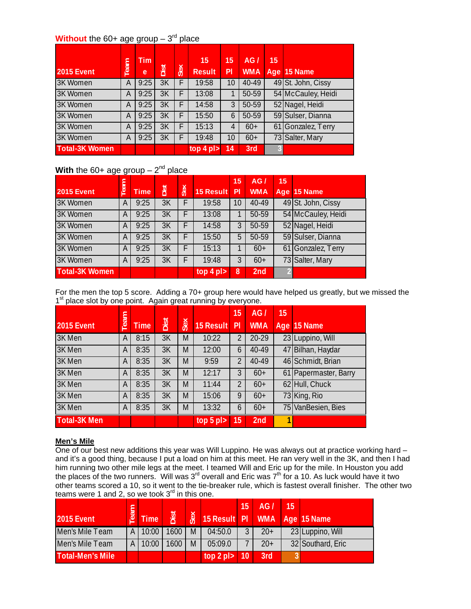### **Without** the 60+ age group  $-3^{rd}$  place

| <b>2015 Event</b>     | Team | Tim<br>e | Dist | <b>Sex</b> | 15<br><b>Result</b> | 15<br>PI | AG/<br><b>WMA</b> | 15 | Age 15 Name        |
|-----------------------|------|----------|------|------------|---------------------|----------|-------------------|----|--------------------|
| 3K Women              | A    | 9:25     | 3K   |            | 19:58               | 10       | 40-49             |    | 49 St. John, Cissy |
| 3K Women              | Α    | 9:25     | 3K   |            | 13:08               | 1        | 50-59             |    | 54 McCauley, Heidi |
| 3K Women              | Α    | 9:25     | 3K   |            | 14:58               | 3        | 50-59             |    | 52 Nagel, Heidi    |
| 3K Women              | А    | 9:25     | 3K   |            | 15:50               | 6        | $50-59$           |    | 59 Sulser, Dianna  |
| 3K Women              | А    | 9:25     | 3K   |            | 15:13               | 4        | $60+$             |    | 61 Gonzalez, Terry |
| 3K Women              | Α    | 9:25     | 3K   |            | 19:48               | 10       | $60+$             |    | 73 Salter, Mary    |
| <b>Total-3K Women</b> |      |          |      |            | top 4 pl            | 14       | 3rd               |    |                    |

## **With** the 60+ age group  $-2^{nd}$  place

|                       |      |             |      |    |                | 15             | AG/             | 15 |                    |
|-----------------------|------|-------------|------|----|----------------|----------------|-----------------|----|--------------------|
| <b>2015 Event</b>     | Team | <b>Time</b> | Dist | Š. | 15 Result      | PI             | <b>WMA</b>      |    | Age 15 Name        |
| 3K Women              | A    | 9:25        | 3K   |    | 19:58          | 10             | 40-49           |    | 49 St. John, Cissy |
| 3K Women              | A    | 9:25        | 3K   | F  | 13:08          |                | 50-59           |    | 54 McCauley, Heidi |
| 3K Women              | A    | 9:25        | 3K   | F  | 14:58          | 3              | 50-59           |    | 52 Nagel, Heidi    |
| <b>3K Women</b>       | A    | 9:25        | 3K   | F  | 15:50          | 5              | 50-59           |    | 59 Sulser, Dianna  |
| <b>3K Women</b>       | A    | 9:25        | 3K   | F  | 15:13          |                | $60+$           |    | 61 Gonzalez, Terry |
| <b>3K Women</b>       | A    | 9:25        | 3K   |    | 19:48          | 3              | $60+$           |    | 73 Salter, Mary    |
| <b>Total-3K Women</b> |      |             |      |    | top $4$ pl $>$ | $\overline{8}$ | 2 <sub>nd</sub> |    |                    |

For the men the top 5 score. Adding a 70+ group here would have helped us greatly, but we missed the 1<sup>st</sup> place slot by one point. Again great running by everyone.

|                     |      |             |      |            |                | 15             | AG/        | 15 |                       |
|---------------------|------|-------------|------|------------|----------------|----------------|------------|----|-----------------------|
| 2015 Event          | Team | <b>Time</b> | Dist | <b>Sex</b> | 15 Result      | P <sub>1</sub> | <b>WMA</b> |    | Age 15 Name           |
| 3K Men              | A    | 8:15        | 3K   | M          | 10:22          | 2              | 20-29      |    | 23 Luppino, Will      |
| 3K Men              | A    | 8:35        | 3K   | M          | 12:00          | 6              | 40-49      |    | 47 Bilhan, Haydar     |
| 3K Men              | A    | 8:35        | 3K   | M          | 9:59           | 2              | 40-49      |    | 46 Schmidt, Brian     |
| 3K Men              | A    | 8:35        | 3K   | M          | 12:17          | 3              | $60+$      |    | 61 Papermaster, Barry |
| 3K Men              | A    | 8:35        | 3K   | M          | 11:44          | 2              | $60+$      |    | 62 Hull, Chuck        |
| 3K Men              | A    | 8:35        | 3K   | M          | 15:06          | 9              | $60+$      |    | 73 King, Rio          |
| 3K Men              | A    | 8:35        | 3K   | M          | 13:32          | 6              | $60+$      |    | 75 VanBesien, Bies    |
| <b>Total-3K Men</b> |      |             |      |            | top $5$ pl $>$ | 15             | 2nd        |    |                       |

#### **Men's Mile**

One of our best new additions this year was Will Luppino. He was always out at practice working hard – and it's a good thing, because I put a load on him at this meet. He ran very well in the 3K, and then I had him running two other mile legs at the meet. I teamed Will and Eric up for the mile. In Houston you add the places of the two runners. Will was 3<sup>rd</sup> overall and Eric was 7<sup>th</sup> for a 10. As luck would have it two other teams scored a 10, so it went to the tie-breaker rule, which is fastest overall finisher. The other two teams were 1 and 2, so we took  $3<sup>rd</sup>$  in this one.

|                         |     |                   |      |     |                  | 15 | AG/   | 15 |                   |
|-------------------------|-----|-------------------|------|-----|------------------|----|-------|----|-------------------|
| <b>2015 Event</b>       | eam | Time <sup>1</sup> | 恩    | Sex | 15 Result PI WMA |    |       |    | Age 15 Name       |
| Men's Mile Team         | ΑI  | 10:00             | 1600 | M   | 04:50.0          |    | $20+$ |    | 23 Luppino, Will  |
| Men's Mile Team         | А   | 10:00             | 1600 | M   | 05:09.0          |    | $20+$ |    | 32 Southard, Eric |
| <b>Total-Men's Mile</b> |     |                   |      |     | top $2$ pl $>$   | 10 | 3rd   |    |                   |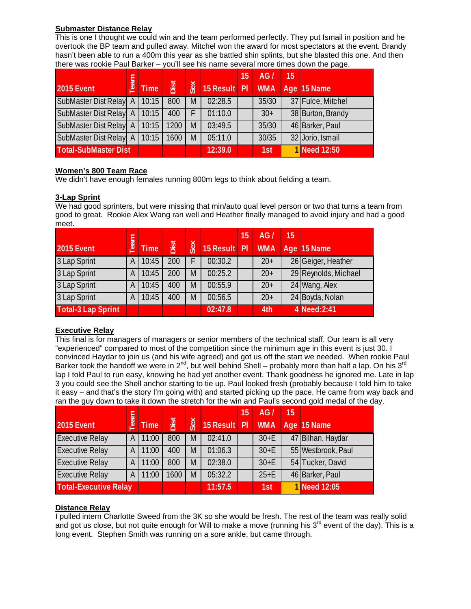#### **Submaster Distance Relay**

This is one I thought we could win and the team performed perfectly. They put Ismail in position and he overtook the BP team and pulled away. Mitchel won the award for most spectators at the event. Brandy hasn't been able to run a 400m this year as she battled shin splints, but she blasted this one. And then there was rookie Paul Barker – you'll see his name several more times down the page.

|                                | eam |             |      |     |              | $15^{\circ}$ | AG/        | 15 |                   |
|--------------------------------|-----|-------------|------|-----|--------------|--------------|------------|----|-------------------|
| <b>2015 Event</b>              |     | <b>Time</b> | Dist | Sex | 15 Result PI |              | <b>WMA</b> |    | Age 15 Name       |
| SubMaster Dist Relay A   10:15 |     |             | 800  | M   | 02:28.5      |              | 35/30      |    | 37 Fulce, Mitchel |
| SubMaster Dist Relay A   10:15 |     |             | 400  | F   | 01:10.0      |              | $30+$      |    | 38 Burton, Brandy |
| SubMaster Dist Relay A   10:15 |     |             | 1200 | M   | 03:49.5      |              | 35/30      |    | 46 Barker, Paul   |
| SubMaster Dist Relay A   10:15 |     |             | 1600 | M   | 05:11.0      |              | 30/35      |    | 32 Jorio, Ismail  |
| <b>Total-SubMaster Dist</b>    |     |             |      |     | 12:39.0      |              | 1st        |    | 1 Need 12:50      |

#### **Women's 800 Team Race**

We didn't have enough females running 800m legs to think about fielding a team.

#### **3-Lap Sprint**

We had good sprinters, but were missing that min/auto qual level person or two that turns a team from good to great. Rookie Alex Wang ran well and Heather finally managed to avoid injury and had a good meet.

| <b>2015 Event</b>         | eam | <b>Time</b> | Dist | Sex | 15 Result Pl | 15 | AG/<br><b>WMA</b> | 15 | Age 15 Name          |
|---------------------------|-----|-------------|------|-----|--------------|----|-------------------|----|----------------------|
| 3 Lap Sprint              | А   | 10:45       | 200  |     | 00:30.2      |    | $20+$             |    | 26 Geiger, Heather   |
| 3 Lap Sprint              | А   | 10:45       | 200  | M   | 00:25.2      |    | $20+$             |    | 29 Reynolds, Michael |
| 3 Lap Sprint              | А   | 10:45       | 400  | M   | 00:55.9      |    | $20+$             |    | 24 Wang, Alex        |
| 3 Lap Sprint              | А   | 10:45       | 400  | M   | 00:56.5      |    | $20+$             |    | 24 Boyda, Nolan      |
| <b>Total-3 Lap Sprint</b> |     |             |      |     | 02:47.8      |    | 4th               |    | 4 Need: 2:41         |

#### **Executive Relay**

This final is for managers of managers or senior members of the technical staff. Our team is all very "experienced" compared to most of the competition since the minimum age in this event is just 30. I convinced Haydar to join us (and his wife agreed) and got us off the start we needed. When rookie Paul Barker took the handoff we were in  $2<sup>nd</sup>$ , but well behind Shell – probably more than half a lap. On his  $3<sup>rd</sup>$ lap I told Paul to run easy, knowing he had yet another event. Thank goodness he ignored me. Late in lap 3 you could see the Shell anchor starting to tie up. Paul looked fresh (probably because I told him to take it easy – and that's the story I'm going with) and started picking up the pace. He came from way back and ran the guy down to take it down the stretch for the win and Paul's second gold medal of the day.

|                              | eam |             |      |     |              | 15 | AG/        | 15 |                    |
|------------------------------|-----|-------------|------|-----|--------------|----|------------|----|--------------------|
| <b>2015 Event</b>            |     | <b>Time</b> | Dist | Sex | 15 Result Pl |    | <b>WMA</b> |    | Age 15 Name        |
| <b>Executive Relay</b>       | ΑI  | 11:00       | 800  | M   | 02:41.0      |    | $30+E$     |    | 47 Bilhan, Haydar  |
| <b>Executive Relay</b>       | ΑI  | 11:00       | 400  | M   | 01:06.3      |    | $30+E$     |    | 55 Westbrook, Paul |
| <b>Executive Relay</b>       | ΑI  | 11:00       | 800  | M   | 02:38.0      |    | $30+E$     |    | 54 Tucker, David   |
| <b>Executive Relay</b>       | ΑI  | 11:00       | 1600 | M   | 05:32.2      |    | $25+E$     |    | 46 Barker, Paul    |
| <b>Total-Executive Relay</b> |     |             |      |     | 11:57.5      |    | 1st        |    | 1 Need 12:05       |

#### **Distance Relay**

I pulled intern Charlotte Sweed from the 3K so she would be fresh. The rest of the team was really solid and got us close, but not quite enough for Will to make a move (running his  $3<sup>rd</sup>$  event of the day). This is a long event. Stephen Smith was running on a sore ankle, but came through.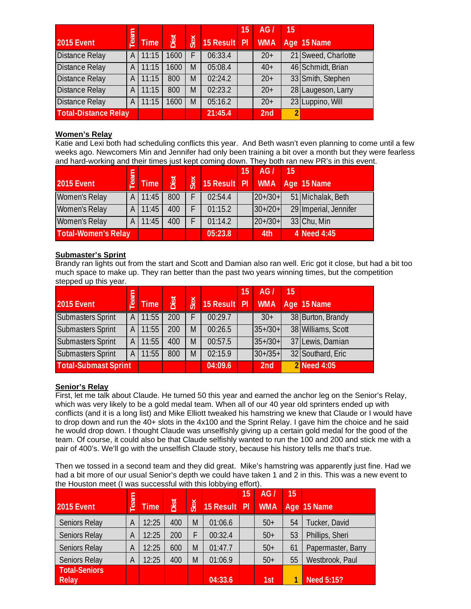|                             |              |             |      |     |                  | $\overline{1}5$ | AG/             | 15             |                     |
|-----------------------------|--------------|-------------|------|-----|------------------|-----------------|-----------------|----------------|---------------------|
| <b>2015 Event</b>           | mea          | <b>Time</b> | Dist | Sex | 15 Result PI WMA |                 |                 |                | Age 15 Name         |
| <b>Distance Relay</b>       | $\mathsf{A}$ | 11:15       | 1600 | F   | 06:33.4          |                 | $20+$           |                | 21 Sweed, Charlotte |
| <b>Distance Relay</b>       | A            | 11:15       | 1600 | M   | 05:08.4          |                 | $40+$           |                | 46 Schmidt, Brian   |
| <b>Distance Relay</b>       | ΑI           | 11:15       | 800  | M   | 02:24.2          |                 | $20+$           |                | 33 Smith, Stephen   |
| <b>Distance Relay</b>       | A            | 11:15       | 800  | M   | 02:23.2          |                 | $20+$           |                | 28 Laugeson, Larry  |
| <b>Distance Relay</b>       | A            | 11:15       | 1600 | M   | 05:16.2          |                 | $20+$           |                | 23 Luppino, Will    |
| <b>Total-Distance Relay</b> |              |             |      |     | 21:45.4          |                 | 2 <sub>nd</sub> | $\overline{2}$ |                     |

#### **Women's Relay**

Katie and Lexi both had scheduling conflicts this year. And Beth wasn't even planning to come until a few weeks ago. Newcomers Min and Jennifer had only been training a bit over a month but they were fearless and hard-working and their times just kept coming down. They both ran new PR's in this event.

|                            |      |         |             |            |                  | $15^{\circ}$ | AG/       | 15 |                       |
|----------------------------|------|---------|-------------|------------|------------------|--------------|-----------|----|-----------------------|
| <b>2015 Event</b>          | Team | Time    | <b>Dist</b> | <b>Sex</b> | 15 Result PI WMA |              |           |    | Age 15 Name           |
| <b>Women's Relay</b>       |      | A 11:45 | 800         |            | 02:54.4          |              | $20+/30+$ |    | 51 Michalak, Beth     |
| <b>Women's Relay</b>       |      | A 11:45 | 400         |            | 01:15.2          |              | $30+20+$  |    | 29 Imperial, Jennifer |
| <b>Women's Relay</b>       | A I  | 11:45   | 400         |            | 01:14.2          |              | $20+/30+$ |    | 33 Chu, Min           |
| <b>Total-Women's Relay</b> |      |         |             |            | 05:23.8          |              | 4th       |    | 4 Need 4:45           |

#### **Submaster's Sprint**

Brandy ran lights out from the start and Scott and Damian also ran well. Eric got it close, but had a bit too much space to make up. They ran better than the past two years winning times, but the competition stepped up this year.

|                             |     |                   |      |     |                  | 15 | AG/       | 15 |                    |
|-----------------------------|-----|-------------------|------|-----|------------------|----|-----------|----|--------------------|
| <b>2015 Event</b>           | eam | Time <sup>1</sup> | Dist | Sex | 15 Result PI WMA |    |           |    | Age 15 Name        |
| Submasters Sprint           | A   | 11:55             | 200  |     | 00:29.7          |    | $30+$     |    | 38 Burton, Brandy  |
| <b>Submasters Sprint</b>    | A   | 11:55             | 200  | M   | 00:26.5          |    | $35+730+$ |    | 38 Williams, Scott |
| Submasters Sprint           | A   | 11:55             | 400  | M   | 00:57.5          |    | $35+/30+$ |    | 37 Lewis, Damian   |
| <b>Submasters Sprint</b>    | A   | 11:55             | 800  | M   | 02:15.9          |    | $30+/35+$ |    | 32 Southard, Eric  |
| <b>Total-Submast Sprint</b> |     |                   |      |     | 04:09.6          |    | 2nd       |    | <b>2</b> Need 4:05 |

#### **Senior's Relay**

First, let me talk about Claude. He turned 50 this year and earned the anchor leg on the Senior's Relay, which was very likely to be a gold medal team. When all of our 40 year old sprinters ended up with conflicts (and it is a long list) and Mike Elliott tweaked his hamstring we knew that Claude or I would have to drop down and run the 40+ slots in the 4x100 and the Sprint Relay. I gave him the choice and he said he would drop down. I thought Claude was unselfishly giving up a certain gold medal for the good of the team. Of course, it could also be that Claude selfishly wanted to run the 100 and 200 and stick me with a pair of 400's. We'll go with the unselfish Claude story, because his history tells me that's true.

Then we tossed in a second team and they did great. Mike's hamstring was apparently just fine. Had we had a bit more of our usual Senior's depth we could have taken 1 and 2 in this. This was a new event to the Houston meet (I was successful with this lobbying effort).

|                               |     |             |                              |     |              | 15 | AG/        | 15 |                    |
|-------------------------------|-----|-------------|------------------------------|-----|--------------|----|------------|----|--------------------|
| <b>2015 Event</b>             | eam | <b>Time</b> | $\overline{\mathbf{S}}$<br>≏ | Sex | 15 Result PI |    | <b>WMA</b> |    | Age 15 Name        |
| <b>Seniors Relay</b>          | Α   | 12:25       | 400                          | M   | 01:06.6      |    | $50+$      | 54 | Tucker, David      |
| <b>Seniors Relay</b>          | Α   | 12:25       | 200                          | F   | 00:32.4      |    | $50+$      | 53 | Phillips, Sheri    |
| <b>Seniors Relay</b>          | А   | 12:25       | 600                          | M   | 01:47.7      |    | $50+$      | 61 | Papermaster, Barry |
| <b>Seniors Relay</b>          | А   | 12:25       | 400                          | M   | 01:06.9      |    | $50+$      | 55 | Westbrook, Paul    |
| <b>Total-Seniors</b><br>Relay |     |             |                              |     | 04:33.6      |    | 1st        |    | Need 5:15?         |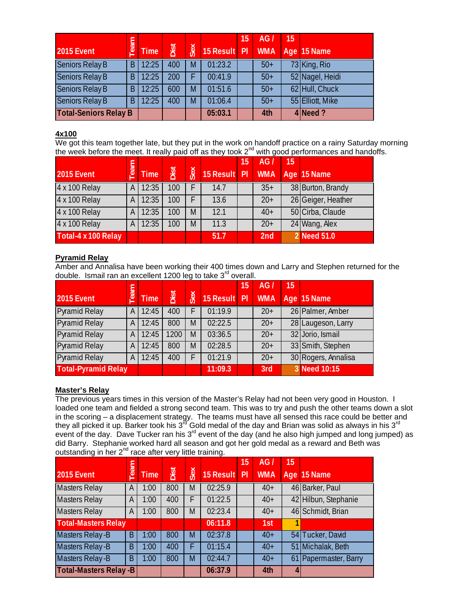|                              |     |             |      |     |              | 15 | AG/        | 15 |                  |
|------------------------------|-----|-------------|------|-----|--------------|----|------------|----|------------------|
| <b>2015 Event</b>            | eam | <b>Time</b> | Dist | Sex | 15 Result PI |    | <b>WMA</b> |    | Age 15 Name      |
| Seniors Relay B              | B   | 12:25       | 400  | M   | 01:23.2      |    | $50+$      |    | 73 King, Rio     |
| Seniors Relay B              | B   | 12:25       | 200  |     | 00:41.9      |    | $50+$      |    | 52 Nagel, Heidi  |
| Seniors Relay B              | B   | 12:25       | 600  | M   | 01:51.6      |    | $50+$      |    | 62 Hull, Chuck   |
| Seniors Relay B              | B   | 12:25       | 400  | M   | 01:06.4      |    | $50+$      |    | 55 Elliott, Mike |
| <b>Total-Seniors Relay B</b> |     |             |      |     | 05:03.1      |    | 4th        |    | 4 Need?          |

#### **4x100**

We got this team together late, but they put in the work on handoff practice on a rainy Saturday morning the week before the meet. It really paid off as they took  $2^{nd}$  with good performances and handoffs.

|                     |     |             |      |     |              | 15 | AG/        | 15 <sub>1</sub> |                    |
|---------------------|-----|-------------|------|-----|--------------|----|------------|-----------------|--------------------|
| 2015 Event          | eam | <b>Time</b> | Dist | Sex | 15 Result PI |    | <b>WMA</b> |                 | Age 15 Name        |
| 4 x 100 Relay       | A I | 12:35       | 100  |     | 14.7         |    | $35+$      |                 | 38 Burton, Brandy  |
| 4 x 100 Relay       | ΑI  | 12:35       | 100  |     | 13.6         |    | $20+$      |                 | 26 Geiger, Heather |
| 4 x 100 Relay       | A I | 12:35       | 100  | M   | 12.1         |    | $40+$      |                 | 50 Cirba, Claude   |
| 4 x 100 Relay       | A I | 12:35       | 100  | M   | 11.3         |    | $20+$      |                 | 24 Wang, Alex      |
| Total-4 x 100 Relay |     |             |      |     | 51.7         |    | 2nd        |                 | 2 Need 51.0        |

#### **Pyramid Relay**

Amber and Annalisa have been working their 400 times down and Larry and Stephen returned for the double. Ismail ran an excellent 1200 leg to take  $3<sup>rd</sup>$  overall.

|                            |     |             |      |     |              | 15 | AG/        | 15 |                     |
|----------------------------|-----|-------------|------|-----|--------------|----|------------|----|---------------------|
| <b>2015 Event</b>          | eam | <b>Time</b> | Dist | Sex | 15 Result PI |    | <b>WMA</b> |    | Age 15 Name         |
| <b>Pyramid Relay</b>       | A   | 12:45       | 400  | F   | 01:19.9      |    | $20+$      |    | 26 Palmer, Amber    |
| <b>Pyramid Relay</b>       | A   | 12:45       | 800  | M   | 02:22.5      |    | $20+$      |    | 28 Laugeson, Larry  |
| <b>Pyramid Relay</b>       | A   | 12:45       | 1200 | M   | 03:36.5      |    | $20+$      |    | 32 Jorio, Ismail    |
| <b>Pyramid Relay</b>       | A   | 12:45       | 800  | M   | 02:28.5      |    | $20+$      |    | 33 Smith, Stephen   |
| <b>Pyramid Relay</b>       | A   | 12:45       | 400  | F   | 01:21.9      |    | $20+$      |    | 30 Rogers, Annalisa |
| <b>Total-Pyramid Relay</b> |     |             |      |     | 11:09.3      |    | 3rd        |    | 3 Need 10:15        |

#### **Master's Relay**

The previous years times in this version of the Master's Relay had not been very good in Houston. I loaded one team and fielded a strong second team. This was to try and push the other teams down a slot in the scoring – a displacement strategy. The teams must have all sensed this race could be better and they all picked it up. Barker took his 3<sup>rd</sup> Gold medal of the day and Brian was solid as always in his 3<sup>rd</sup> event of the day. Dave Tucker ran his 3<sup>rd</sup> event of the day (and he also high jumped and long jumped) as did Barry. Stephanie worked hard all season and got her gold medal as a reward and Beth was outstanding in her 2<sup>nd</sup> race after very little training.

|                               |     |             |      |            |           | 15 | AG/        |   |                       |
|-------------------------------|-----|-------------|------|------------|-----------|----|------------|---|-----------------------|
| <b>2015 Event</b>             | eam | <b>Time</b> | Dist | <b>Sex</b> | 15 Result | P  | <b>WMA</b> |   | Age 15 Name           |
| Masters Relay                 | A   | 1:00        | 800  | M          | 02:25.9   |    | $40+$      |   | 46 Barker, Paul       |
| <b>Masters Relay</b>          | A   | 1:00        | 400  | F          | 01:22.5   |    | $40+$      |   | 42 Hilbun, Stephanie  |
| <b>Masters Relay</b>          | A   | 1:00        | 800  | M          | 02:23.4   |    | $40+$      |   | 46 Schmidt, Brian     |
| <b>Total-Masters Relay</b>    |     |             |      |            | 06:11.8   |    | 1st        |   |                       |
| <b>Masters Relay-B</b>        | B   | 1:00        | 800  | M          | 02:37.8   |    | $40+$      |   | 54 Tucker, David      |
| <b>Masters Relay-B</b>        | B   | 1:00        | 400  | F          | 01:15.4   |    | $40+$      |   | 51 Michalak, Beth     |
| <b>Masters Relay-B</b>        | B   | 1:00        | 800  | M          | 02:44.7   |    | $40+$      |   | 61 Papermaster, Barry |
| <b>Total-Masters Relay -B</b> |     |             |      |            | 06:37.9   |    | 4th        | 4 |                       |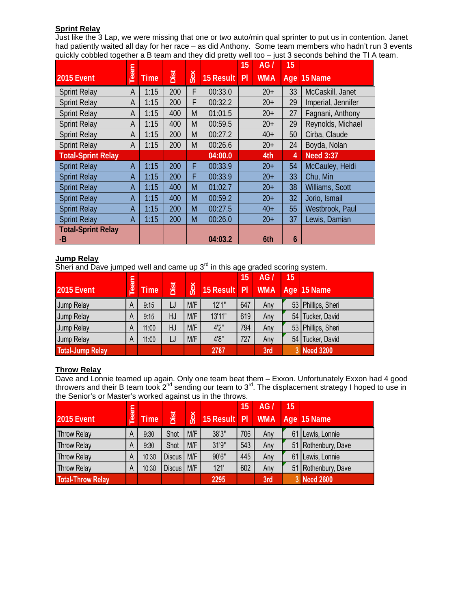#### **Sprint Relay**

Just like the 3 Lap, we were missing that one or two auto/min qual sprinter to put us in contention. Janet had patiently waited all day for her race – as did Anthony. Some team members who hadn't run 3 events quickly cobbled together a B team and they did pretty well too – just 3 seconds behind the TI A team.

|                                 |      |             |      |     |           | 15 | AG/        | 15 |                    |
|---------------------------------|------|-------------|------|-----|-----------|----|------------|----|--------------------|
| 2015 Event                      | Team | <b>Time</b> | Dist | Sex | 15 Result | PI | <b>WMA</b> |    | Age 15 Name        |
| <b>Sprint Relay</b>             | A    | 1:15        | 200  | F   | 00:33.0   |    | $20+$      | 33 | McCaskill, Janet   |
| <b>Sprint Relay</b>             | A    | 1:15        | 200  | F   | 00:32.2   |    | $20+$      | 29 | Imperial, Jennifer |
| <b>Sprint Relay</b>             | A    | 1:15        | 400  | M   | 01:01.5   |    | $20+$      | 27 | Fagnani, Anthony   |
| <b>Sprint Relay</b>             | A    | 1:15        | 400  | M   | 00:59.5   |    | $20+$      | 29 | Reynolds, Michael  |
| <b>Sprint Relay</b>             | A    | 1:15        | 200  | M   | 00:27.2   |    | $40+$      | 50 | Cirba, Claude      |
| <b>Sprint Relay</b>             | A    | 1:15        | 200  | M   | 00:26.6   |    | $20+$      | 24 | Boyda, Nolan       |
| <b>Total-Sprint Relay</b>       |      |             |      |     | 04:00.0   |    | 4th        | 4  | <b>Need 3:37</b>   |
| <b>Sprint Relay</b>             | A    | 1:15        | 200  | F   | 00:33.9   |    | $20+$      | 54 | McCauley, Heidi    |
| <b>Sprint Relay</b>             | А    | 1:15        | 200  | F   | 00:33.9   |    | $20+$      | 33 | Chu, Min           |
| <b>Sprint Relay</b>             | A    | 1:15        | 400  | M   | 01:02.7   |    | $20+$      | 38 | Williams, Scott    |
| <b>Sprint Relay</b>             | A    | 1:15        | 400  | M   | 00:59.2   |    | $20+$      | 32 | Jorio, Ismail      |
| <b>Sprint Relay</b>             | A    | 1:15        | 200  | M   | 00:27.5   |    | $40+$      | 55 | Westbrook, Paul    |
| <b>Sprint Relay</b>             | A    | 1:15        | 200  | M   | 00:26.0   |    | $20+$      | 37 | Lewis, Damian      |
| <b>Total-Sprint Relay</b><br>-B |      |             |      |     | 04:03.2   |    | 6th        | 6  |                    |

#### **Jump Relay**

Sheri and Dave jumped well and came up  $3<sup>rd</sup>$  in this age graded scoring system.

|                         |     |             |      |     |              | 15  | AG/        | 15 |                    |
|-------------------------|-----|-------------|------|-----|--------------|-----|------------|----|--------------------|
| <b>2015 Event</b>       | eam | <b>Time</b> | Dist | Sex | 15 Result PI |     | <b>WMA</b> |    | Age 15 Name        |
| Jump Relay              | A   | 9:15        | LJ   | M/F | 12'1''       | 647 | Any        |    | 53 Phillips, Sheri |
| Jump Relay              | A   | 9:15        | HJ   | M/F | 13'11"       | 619 | Any        | 54 | Tucker, David      |
| Jump Relay              | A   | 11:00       | HJ   | M/F | 4'2"         | 794 | Any        |    | 53 Phillips, Sheri |
| Jump Relay              | A   | 11:00       | LJ   | M/F | 4'8"         | 727 | Any        | 54 | Tucker, David      |
| <b>Total-Jump Relay</b> |     |             |      |     | 2787         |     | 3rd        |    | 3 Need 3200        |

#### **Throw Relay**

Dave and Lonnie teamed up again. Only one team beat them – Exxon. Unfortunately Exxon had 4 good throwers and their B team took 2<sup>nd</sup> sending our team to 3<sup>rd</sup>. The displacement strategy I hoped to use in the Senior's or Master's worked against us in the throws.

|                          |              |             |               |     |              | $\mathsf{15}$ | AG/        | 15 |                     |
|--------------------------|--------------|-------------|---------------|-----|--------------|---------------|------------|----|---------------------|
| <b>2015 Event</b>        | eam          | <b>Time</b> | Dist          | Sex | 15 Result PI |               | <b>WMA</b> |    | Age 15 Name         |
| <b>Throw Relay</b>       | $\mathsf{A}$ | 9:30        | Shot          | M/F | 38'3"        | 706           | Any        |    | 61 Lewis, Lonnie    |
| <b>Throw Relay</b>       | A            | 9:30        | Shot          | M/F | 31'9"        | 543           | Any        |    | 51 Rothenbury, Dave |
| <b>Throw Relay</b>       | $\mathsf{A}$ | 10:30       | <b>Discus</b> | M/F | 90'6"        | 445           | Any        | 61 | Lewis, Lonnie       |
| Throw Relay              | A            | 10:30       | <b>Discus</b> | M/F | 121'         | 602           | Any        |    | 51 Rothenbury, Dave |
| <b>Total-Throw Relay</b> |              |             |               |     | 2295         |               | 3rd        |    | 3 Need 2600         |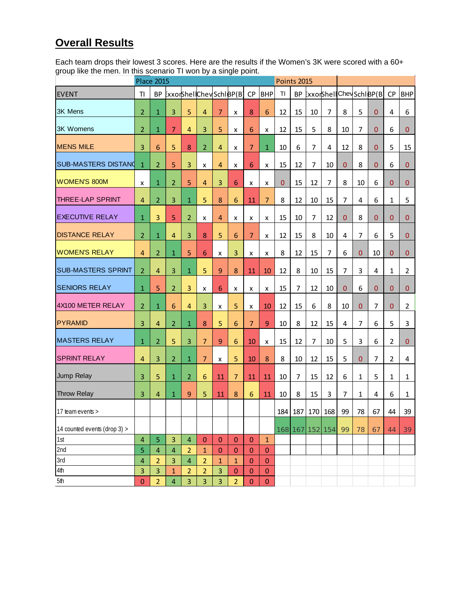## **Overall Results**

Each team drops their lowest 3 scores. Here are the results if the Women's 3K were scored with a 60+ group like the men. In this scenario TI won by a single point.

|                              | <b>Place 2015</b>  |                         |                         |                | Points 2015    |                 |                         |                 |                 |              |           |                 |                |                |                |                         |                |                |
|------------------------------|--------------------|-------------------------|-------------------------|----------------|----------------|-----------------|-------------------------|-----------------|-----------------|--------------|-----------|-----------------|----------------|----------------|----------------|-------------------------|----------------|----------------|
| <b>EVENT</b>                 | TI                 | <b>BP</b>               |                         |                |                |                 | ExxorShellChevSchlBP(B) | <b>CP</b>       | <b>BHP</b>      | TI           | <b>BP</b> |                 |                |                |                | ExxorShellChevSchiBP(B) | <b>CP</b>      | <b>BHP</b>     |
| 3K Mens                      | $\overline{2}$     | $\mathbf 1$             | $\overline{3}$          | 5              | $\overline{4}$ | $\overline{7}$  | x                       | 8               | $6\phantom{1}6$ | 12           | 15        | 10              | 7              | 8              | 5              | 0                       | 4              | 6              |
| <b>3K Womens</b>             | 2                  | $\mathbf{1}$            | $\overline{7}$          | $\overline{4}$ | 3              | 5               | x                       | 6               | x               | 12           | 15        | 5               | 8              | 10             | $\overline{7}$ | $\overline{0}$          | 6              | $\overline{0}$ |
| <b>MENS MILE</b>             | 3                  | 6                       | 5                       | 8              | $\overline{2}$ | $\overline{4}$  | x                       | $\overline{7}$  | $\mathbf{1}$    | 10           | 6         | 7               | 4              | 12             | 8              | $\overline{0}$          | 5              | 15             |
| <b>SUB-MASTERS DISTANO</b>   | $\mathbf{1}$       | $\overline{2}$          | 5                       | 3              | x              | $\overline{4}$  | x                       | 6               | x               | 15           | 12        | 7               | 10             | 0              | 8              | 0                       | 6              | 0              |
| <b>WOMEN'S 800M</b>          | $\pmb{\mathsf{x}}$ | $\mathbf{1}$            | $\overline{2}$          | 5              | $\overline{4}$ | 3               | 6                       | x               | x               | $\mathbf{0}$ | 15        | 12              | $\overline{7}$ | 8              | 10             | 6                       | 0              | 0              |
| <b>THREE-LAP SPRINT</b>      | $\overline{4}$     | $\overline{2}$          | 3                       | $\mathbf{1}$   | 5              | 8               | 6                       | 11              | $\overline{7}$  | 8            | 12        | 10              | 15             | 7              | 4              | 6                       | 1              | 5              |
| <b>EXECUTIVE RELAY</b>       | $\mathbf{1}$       | 3                       | 5                       | 2              | x              | $\overline{4}$  | x                       | x               | x               | 15           | 10        | 7               | 12             | 0              | 8              | 0                       | 0              | 0              |
| <b>DISTANCE RELAY</b>        | 2                  | $\mathbf{1}$            | 4                       | 3              | 8              | 5               | 6                       | $\overline{7}$  | x               | 12           | 15        | 8               | 10             | 4              | 7              | 6                       | 5              | 0              |
| <b>WOMEN'S RELAY</b>         | $\overline{4}$     | $\overline{2}$          | $\mathbf{1}$            | 5              | 6              | x               | 3                       | x               | x               | 8            | 12        | 15              | 7              | 6              | 0              | 10                      | 0              | 0              |
| <b>SUB-MASTERS SPRINT</b>    | $\overline{2}$     | $\overline{4}$          | 3                       | $\mathbf{1}$   | 5              | 9               | 8                       | 11              | 10              | 12           | 8         | 10              | 15             | $\overline{7}$ | 3              | 4                       | 1              | $\overline{2}$ |
| <b>SENIORS RELAY</b>         | $\mathbf{1}$       | 5                       | $\overline{2}$          | 3              | x              | $6\phantom{1}6$ | x                       | x               | x               | 15           | 7         | 12              | 10             | $\overline{0}$ | 6              | 0                       | 0              | $\bf{0}$       |
| 4X100 METER RELAY            | $\overline{2}$     | $\mathbf{1}$            | $6\phantom{1}6$         | $\overline{4}$ | 3              | x               | 5                       | x               | 10              | 12           | 15        | 6               | 8              | 10             | $\mathbf{0}$   | $\overline{7}$          | $\mathbf 0$    | $\overline{2}$ |
| PYRAMID                      | 3                  | $\overline{4}$          | $\overline{2}$          | $\mathbf{1}$   | 8              | 5               | $6\phantom{1}$          | $\overline{7}$  | $\overline{9}$  | 10           | 8         | 12              | 15             | 4              | $\overline{7}$ | 6                       | 5              | 3              |
| <b>MASTERS RELAY</b>         | $\mathbf{1}$       | $\overline{2}$          | 5                       | 3              | $\overline{7}$ | $\overline{9}$  | 6                       | 10              | x               | 15           | 12        | 7               | 10             | 5              | 3              | 6                       | $\overline{2}$ | $\mathbf{0}$   |
| <b>SPRINT RELAY</b>          | $\overline{a}$     | 3                       | $\overline{2}$          | $\mathbf{1}$   | $\overline{7}$ | x               | 5                       | 10              | $\bf 8$         | 8            | 10        | 12              | 15             | 5              | $\mathbf{0}$   | 7                       | 2              | 4              |
| Jump Relay                   | 3                  | 5                       | 1                       | 2              | 6              | 11              | 7                       | 11              | 11              | 10           | 7         | 15              | 12             | 6              | 1              | 5                       | 1              | 1              |
| <b>Throw Relay</b>           | 3                  | $\overline{4}$          | $\mathbf{1}$            | 9              | 5              | 11              | 8                       | $6\phantom{1}6$ | 11              | 10           | 8         | 15              | 3              | $\overline{7}$ | 1              | 4                       | 6              | 1              |
| 17 team events >             |                    |                         |                         |                |                |                 |                         |                 |                 | 184          | 187       | 170             | 168            | 99             | 78             | 67                      | 44             | 39             |
| 14 counted events (drop 3) > |                    |                         |                         |                |                |                 |                         |                 |                 |              |           | 168 167 152 154 |                | 99             | 78             | 67                      | 44             | 39             |
| 1st                          | 4                  | 5                       | 3                       | $\overline{4}$ | $\mathbf{0}$   | $\theta$        | $\pmb{0}$               | $\bf 0$         | $\mathbf 1$     |              |           |                 |                |                |                |                         |                |                |
| 2nd                          | 5                  | $\overline{\mathbf{4}}$ | $\overline{\mathbf{4}}$ | $\overline{2}$ | $\mathbf 1$    | $\mathbf 0$     | 0                       | $\mathbf 0$     | $\pmb{0}$       |              |           |                 |                |                |                |                         |                |                |
| 3rd                          | 4                  | $\overline{2}$          | 3                       | $\overline{4}$ | $\overline{2}$ | $\mathbf{1}$    | $\mathbf{1}$            | $\mathbf{0}$    | $\pmb{0}$       |              |           |                 |                |                |                |                         |                |                |
| 4th                          | 3                  | 3                       | $\mathbf{1}$            | $\overline{2}$ | $\overline{2}$ | $\overline{3}$  | 0                       | $\pmb{0}$       | $\pmb{0}$       |              |           |                 |                |                |                |                         |                |                |
| 5th                          | 0                  | $\overline{2}$          | $\overline{\mathbf{4}}$ | 3              | $\overline{3}$ | $\overline{3}$  | $\overline{2}$          | $\bf 0$         | $\pmb{0}$       |              |           |                 |                |                |                |                         |                |                |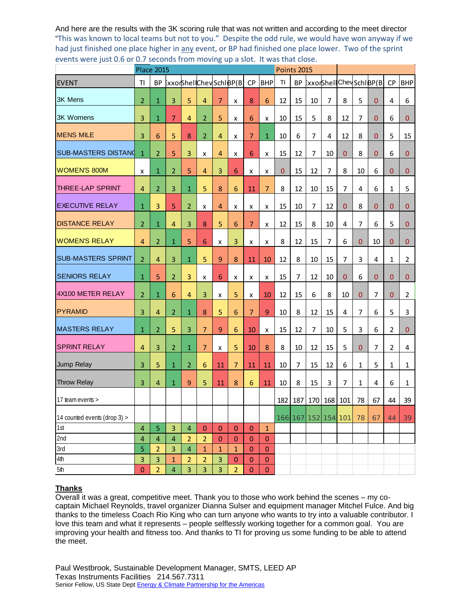And here are the results with the 3K scoring rule that was not written and according to the meet director "This was known to local teams but not to you." Despite the odd rule, we would have won anyway if we had just finished one place higher in any event, or BP had finished one place lower. Two of the sprint events were just 0.6 or 0.7 seconds from moving up a slot. It was that close.

|                              |                         | <b>Place 2015</b>       |                         |                         |                |                |                  | <b>Points 2015</b> |                  |          |     |    |                |                     |              |                         |                |                |  |  |
|------------------------------|-------------------------|-------------------------|-------------------------|-------------------------|----------------|----------------|------------------|--------------------|------------------|----------|-----|----|----------------|---------------------|--------------|-------------------------|----------------|----------------|--|--|
| <b>EVENT</b>                 | TI                      | <b>BP</b>               |                         | ExxorShellChevSchlBP(B) |                |                |                  | CP                 | <b>BHP</b>       | TI.      | BP  |    |                |                     |              | ExxorShellChevSchiBP(B) | <b>CP</b>      | <b>BHP</b>     |  |  |
| <b>3K Mens</b>               | $\overline{2}$          | $\mathbf{1}$            | 3                       | 5                       | $\overline{4}$ | $\overline{7}$ | x                | 8                  | $6\phantom{1}6$  | 12       | 15  | 10 | $\overline{7}$ | 8                   | 5            | 0                       | 4              | 6              |  |  |
| <b>3K Womens</b>             | 3                       | $\mathbf{1}$            | $\overline{7}$          | 4                       | $\overline{2}$ | 5              | x                | 6                  | x                | 10       | 15  | 5  | 8              | 12                  | 7            | 0                       | 6              | 0              |  |  |
| <b>MENS MILE</b>             | 3                       | 6                       | 5                       | 8                       | 2              | $\overline{4}$ | x                | $\overline{7}$     | $\mathbf{1}$     | 10       | 6   | 7  | 4              | 12                  | 8            | 0                       | 5              | 15             |  |  |
| <b>SUB-MASTERS DISTANO</b>   | $\mathbf{1}$            | $\overline{2}$          | 5                       | 3                       | x              | $\overline{4}$ | x                | 6                  | x                | 15       | 12  | 7  | 10             | $\mathbf 0$         | 8            | 0                       | 6              | 0              |  |  |
| <b>WOMEN'S 800M</b>          | x                       | $\mathbf{1}$            | $\overline{2}$          | 5                       | $\overline{4}$ | 3              | 6                | x                  | x                | $\bf{0}$ | 15  | 12 | 7              | 8                   | 10           | 6                       | $\overline{0}$ | 0              |  |  |
| <b>THREE-LAP SPRINT</b>      | $\overline{4}$          | $\overline{2}$          | 3                       | $\mathbf{1}$            | 5              | 8              | 6                | 11                 | $\overline{7}$   | 8        | 12  | 10 | 15             | 7                   | 4            | 6                       | 1              | 5              |  |  |
| <b>EXECUTIVE RELAY</b>       | 1                       | 3                       | 5                       | $\overline{2}$          | x              | 4              | x                | x                  | x                | 15       | 10  | 7  | 12             | $\theta$            | 8            | 0                       | $\mathbf 0$    | 0              |  |  |
| <b>DISTANCE RELAY</b>        | $\overline{2}$          | $\mathbf{1}$            | 4                       | 3                       | 8              | 5              | 6                | $\overline{7}$     | x                | 12       | 15  | 8  | 10             | 4                   | 7            | 6                       | 5              | 0              |  |  |
| <b>WOMEN'S RELAY</b>         | $\overline{4}$          | 2                       | $\mathbf{1}$            | 5                       | 6              | x              | 3                | x                  | x                | 8        | 12  | 15 | 7              | 6                   | 0            | 10                      | 0              | 0              |  |  |
| <b>SUB-MASTERS SPRINT</b>    | $\overline{2}$          | $\overline{4}$          | 3                       | $\mathbf{1}$            | 5              | $\overline{9}$ | 8                | 11                 | 10               | 12       | 8   | 10 | 15             | $\overline{7}$      | 3            | 4                       | 1              | $\overline{2}$ |  |  |
| <b>SENIORS RELAY</b>         | $\mathbf{1}$            | 5                       | $\overline{2}$          | 3                       | x              | 6              | x                | x                  | x                | 15       | 7   | 12 | 10             | $\bf{0}$            | 6            | 0                       | $\mathbf{0}$   | $\bf{0}$       |  |  |
| 4X100 METER RELAY            | $\overline{2}$          | 1                       | 6                       | 4                       | 3              | x              | 5                | x                  | 10               | 12       | 15  | 6  | 8              | 10                  | $\mathbf{0}$ | 7                       | $\mathbf{0}$   | $\overline{2}$ |  |  |
| <b>PYRAMID</b>               | 3                       | 4                       | $\overline{2}$          | $\mathbf{1}$            | 8              | 5              | 6                | $\overline{7}$     | 9                | 10       | 8   | 12 | 15             | 4                   | 7            | 6                       | 5              | 3              |  |  |
| <b>MASTERS RELAY</b>         | $\mathbf{1}$            | 2                       | 5                       | 3                       | $\overline{7}$ | $\overline{9}$ | 6                | 10                 | x                | 15       | 12  | 7  | 10             | 5                   | 3            | 6                       | 2              | 0              |  |  |
| <b>SPRINT RELAY</b>          | 4                       | 3                       | 2                       | $\mathbf{1}$            | $\overline{7}$ | x              | 5                | 10                 | 8                | 8        | 10  | 12 | 15             | 5                   | $\mathbf{0}$ | $\overline{7}$          | 2              | 4              |  |  |
| Jump Relay                   | 3                       | 5                       | $\mathbf{1}$            | $\overline{2}$          | 6              | 11             | $\overline{7}$   | 11                 | 11               | 10       | 7   | 15 | 12             | 6                   | 1            | 5                       | 1              | 1              |  |  |
| <b>Throw Relay</b>           | 3                       | 4                       | $\mathbf{1}$            | 9                       | 5              | 11             | 8                | $6\phantom{1}$     | 11               | 10       | 8   | 15 | 3              | 7                   | 1            | 4                       | 6              | 1              |  |  |
| 17 team events >             |                         |                         |                         |                         |                |                |                  |                    |                  | 182      | 187 |    | 170 168        | 101                 | 78           | 67                      | 44             | 39             |  |  |
| 14 counted events (drop 3) > |                         |                         |                         |                         |                |                |                  |                    |                  |          |     |    |                | 166 167 152 154 101 | 78           | 67                      | 44             | 39             |  |  |
| 1st                          | $\overline{\mathbf{4}}$ | 5                       | 3                       | $\overline{4}$          | $\bf 0$        | $\mathbf{0}$   | $\boldsymbol{0}$ | $\pmb{0}$          | $\mathbf 1$      |          |     |    |                |                     |              |                         |                |                |  |  |
| 2nd                          | $\overline{\mathbf{4}}$ | $\overline{\mathbf{4}}$ | $\overline{4}$          | $\overline{2}$          | $\overline{2}$ | $\mathbf{0}$   | $\mathbf{0}$     | $\bf 0$            | $\boldsymbol{0}$ |          |     |    |                |                     |              |                         |                |                |  |  |
| 3rd                          | 5                       | $\overline{2}$          | 3                       | $\overline{\mathbf{4}}$ | $\mathbf{1}$   | $\mathbf 1$    | $\mathbf{1}$     | $\boldsymbol{0}$   | $\pmb{0}$        |          |     |    |                |                     |              |                         |                |                |  |  |
| $4th$                        | $\overline{3}$          | 3                       | $\mathbf{1}$            | $\overline{2}$          | $\overline{2}$ | $\overline{3}$ | $\mathbf{0}$     | $\bf 0$            | $\pmb{0}$        |          |     |    |                |                     |              |                         |                |                |  |  |
| 5th                          | $\mathbf{0}$            | $\overline{2}$          | $\overline{\mathbf{4}}$ | 3                       | 3              | 3              | $\overline{2}$   | $\pmb{0}$          | $\pmb{0}$        |          |     |    |                |                     |              |                         |                |                |  |  |

#### **Thanks**

Overall it was a great, competitive meet. Thank you to those who work behind the scenes – my cocaptain Michael Reynolds, travel organizer Dianna Sulser and equipment manager Mitchel Fulce. And big thanks to the timeless Coach Rio King who can turn anyone who wants to try into a valuable contributor. I love this team and what it represents – people selflessly working together for a common goal. You are improving your health and fitness too. And thanks to TI for proving us some funding to be able to attend the meet.

Paul Westbrook, Sustainable Development Manager, SMTS, LEED AP Texas Instruments Facilities 214.567.7311 Senior Fellow, US State Dept Energy & Climate Partnership for the Americas